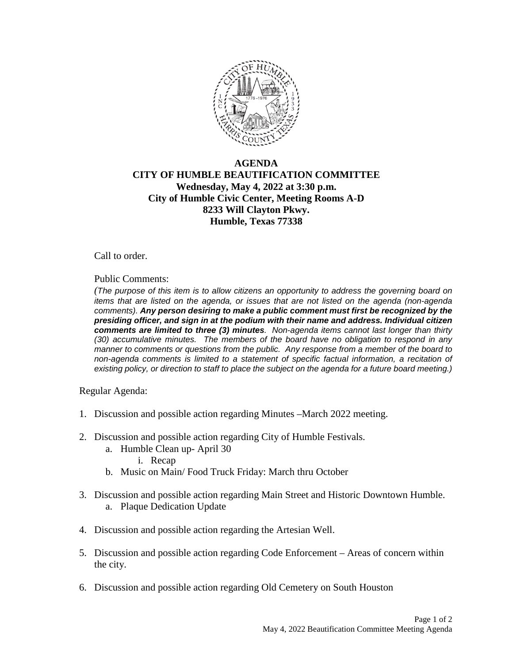

## **AGENDA CITY OF HUMBLE BEAUTIFICATION COMMITTEE Wednesday, May 4, 2022 at 3:30 p.m. City of Humble Civic Center, Meeting Rooms A-D 8233 Will Clayton Pkwy. Humble, Texas 77338**

Call to order.

Public Comments:

*(The purpose of this item is to allow citizens an opportunity to address the governing board on items that are listed on the agenda, or issues that are not listed on the agenda (non-agenda comments). Any person desiring to make a public comment must first be recognized by the presiding officer, and sign in at the podium with their name and address. Individual citizen comments are limited to three (3) minutes. Non-agenda items cannot last longer than thirty (30) accumulative minutes. The members of the board have no obligation to respond in any manner to comments or questions from the public. Any response from a member of the board to non-agenda comments is limited to a statement of specific factual information, a recitation of existing policy, or direction to staff to place the subject on the agenda for a future board meeting.)* 

Regular Agenda:

- 1. Discussion and possible action regarding Minutes –March 2022 meeting.
- 2. Discussion and possible action regarding City of Humble Festivals.
	- a. Humble Clean up- April 30
		- i. Recap
	- b. Music on Main/ Food Truck Friday: March thru October
- 3. Discussion and possible action regarding Main Street and Historic Downtown Humble. a. Plaque Dedication Update
- 4. Discussion and possible action regarding the Artesian Well.
- 5. Discussion and possible action regarding Code Enforcement Areas of concern within the city.
- 6. Discussion and possible action regarding Old Cemetery on South Houston